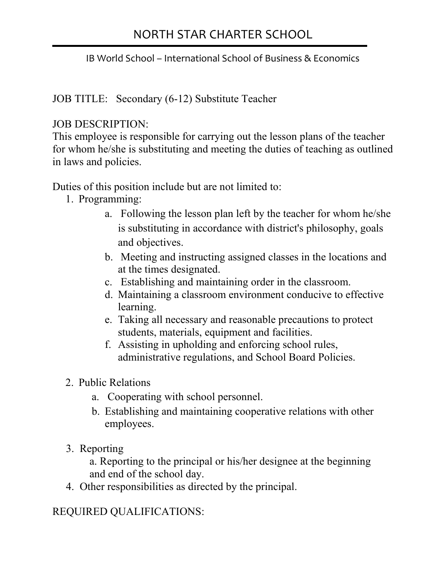## NORTH STAR CHARTER SCHOOL

j

IB World School – International School of Business & Economics

JOB TITLE: Secondary (6-12) Substitute Teacher

#### JOB DESCRIPTION:

This employee is responsible for carrying out the lesson plans of the teacher for whom he/she is substituting and meeting the duties of teaching as outlined in laws and policies.

Duties of this position include but are not limited to:

- 1. Programming:
	- a. Following the lesson plan left by the teacher for whom he/she is substituting in accordance with district's philosophy, goals and objectives.
	- b. Meeting and instructing assigned classes in the locations and at the times designated.
	- c. Establishing and maintaining order in the classroom.
	- d. Maintaining a classroom environment conducive to effective learning.
	- e. Taking all necessary and reasonable precautions to protect students, materials, equipment and facilities.
	- f. Assisting in upholding and enforcing school rules, administrative regulations, and School Board Policies.
- 2. Public Relations
	- a. Cooperating with school personnel.
	- b. Establishing and maintaining cooperative relations with other employees.
- 3. Reporting

a. Reporting to the principal or his/her designee at the beginning and end of the school day.

4. Other responsibilities as directed by the principal.

REQUIRED QUALIFICATIONS: